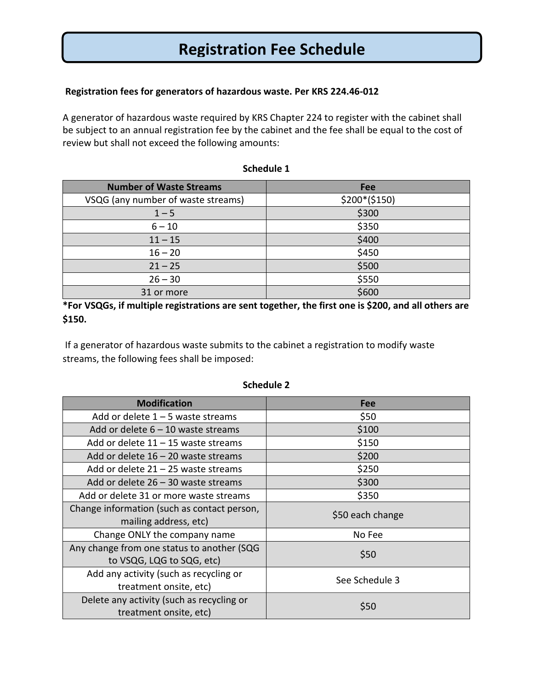# **Registration Fee Schedule**

### **Registration fees for generators of hazardous waste. Per KRS 224.46-012**

A generator of hazardous waste required by KRS Chapter 224 to register with the cabinet shall be subject to an annual registration fee by the cabinet and the fee shall be equal to the cost of review but shall not exceed the following amounts:

| <b>Number of Waste Streams</b>     | Fee           |
|------------------------------------|---------------|
| VSQG (any number of waste streams) | $$200*($150)$ |
| $1 - 5$                            | \$300         |
| $6 - 10$                           | \$350         |
| $11 - 15$                          | \$400         |
| $16 - 20$                          | \$450         |
| $21 - 25$                          | \$500         |
| $26 - 30$                          | \$550         |
| 31 or more                         | \$600         |

#### **Schedule 1**

**\*For VSQGs, if multiple registrations are sent together, the first one is \$200, and all others are \$150.**

If a generator of hazardous waste submits to the cabinet a registration to modify waste streams, the following fees shall be imposed:

| <b>Modification</b>                                                     | Fee              |
|-------------------------------------------------------------------------|------------------|
| Add or delete $1 - 5$ waste streams                                     | \$50             |
| Add or delete $6 - 10$ waste streams                                    | \$100            |
| Add or delete $11 - 15$ waste streams                                   | \$150            |
| Add or delete $16 - 20$ waste streams                                   | \$200            |
| Add or delete $21 - 25$ waste streams                                   | \$250            |
| Add or delete $26 - 30$ waste streams                                   | \$300            |
| Add or delete 31 or more waste streams                                  | \$350            |
| Change information (such as contact person,<br>mailing address, etc)    | \$50 each change |
| Change ONLY the company name                                            | No Fee           |
| Any change from one status to another (SQG<br>to VSQG, LQG to SQG, etc) | \$50             |
| Add any activity (such as recycling or<br>treatment onsite, etc)        | See Schedule 3   |
| Delete any activity (such as recycling or<br>treatment onsite, etc)     | \$50             |

#### **Schedule 2**